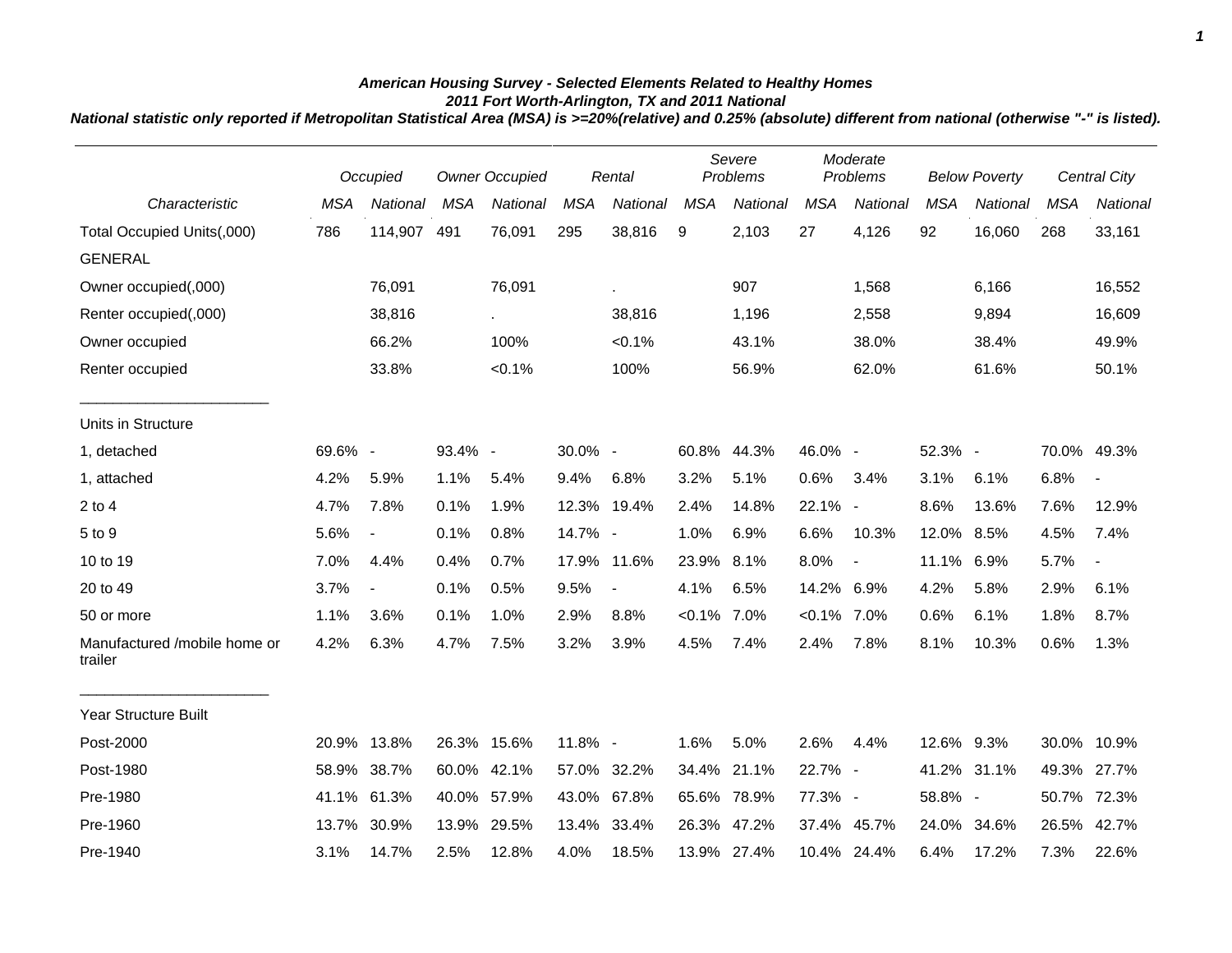## *American Housing Survey - Selected Elements Related to Healthy Homes 2011 Fort Worth-Arlington, TX and 2011 National*

*National statistic only reported if Metropolitan Statistical Area (MSA) is >=20%(relative) and 0.25% (absolute) different from national (otherwise "-" is listed).*

|                                         |            | Occupied                 | <b>Owner Occupied</b> |                 | Rental     |                | Severe<br>Problems |                 | Moderate<br>Problems |                          | <b>Below Poverty</b> |             | <b>Central City</b> |                          |
|-----------------------------------------|------------|--------------------------|-----------------------|-----------------|------------|----------------|--------------------|-----------------|----------------------|--------------------------|----------------------|-------------|---------------------|--------------------------|
| Characteristic                          | <b>MSA</b> | National                 | <b>MSA</b>            | <b>National</b> | <b>MSA</b> | National       | <b>MSA</b>         | <b>National</b> | <b>MSA</b>           | National                 | <b>MSA</b>           | National    | <b>MSA</b>          | National                 |
| Total Occupied Units(,000)              | 786        | 114,907                  | 491                   | 76,091          | 295        | 38,816         | 9                  | 2,103           | 27                   | 4,126                    | 92                   | 16,060      | 268                 | 33,161                   |
| <b>GENERAL</b>                          |            |                          |                       |                 |            |                |                    |                 |                      |                          |                      |             |                     |                          |
| Owner occupied(,000)                    |            | 76,091                   |                       | 76,091          |            | ×.             |                    | 907             |                      | 1,568                    |                      | 6,166       |                     | 16,552                   |
| Renter occupied(,000)                   |            | 38,816                   |                       |                 |            | 38,816         |                    | 1,196           |                      | 2,558                    |                      | 9,894       |                     | 16,609                   |
| Owner occupied                          |            | 66.2%                    |                       | 100%            |            | $< 0.1\%$      |                    | 43.1%           |                      | 38.0%                    |                      | 38.4%       |                     | 49.9%                    |
| Renter occupied                         |            | 33.8%                    |                       | $< 0.1\%$       |            | 100%           |                    | 56.9%           |                      | 62.0%                    |                      | 61.6%       |                     | 50.1%                    |
| Units in Structure                      |            |                          |                       |                 |            |                |                    |                 |                      |                          |                      |             |                     |                          |
| 1, detached                             | 69.6% -    |                          | 93.4% -               |                 | 30.0% -    |                |                    | 60.8% 44.3%     | 46.0% -              |                          | 52.3% -              |             |                     | 70.0% 49.3%              |
| 1, attached                             | 4.2%       | 5.9%                     | 1.1%                  | 5.4%            | 9.4%       | 6.8%           | 3.2%               | 5.1%            | 0.6%                 | 3.4%                     | 3.1%                 | 6.1%        | 6.8%                | $\blacksquare$           |
| $2$ to $4$                              | 4.7%       | 7.8%                     | 0.1%                  | 1.9%            |            | 12.3% 19.4%    | 2.4%               | 14.8%           | 22.1% -              |                          | 8.6%                 | 13.6%       | 7.6%                | 12.9%                    |
| 5 to 9                                  | 5.6%       | $\overline{\phantom{a}}$ | 0.1%                  | 0.8%            | 14.7% -    |                | 1.0%               | 6.9%            | 6.6%                 | 10.3%                    | 12.0%                | 8.5%        | 4.5%                | 7.4%                     |
| 10 to 19                                | 7.0%       | 4.4%                     | 0.4%                  | 0.7%            |            | 17.9% 11.6%    | 23.9%              | 8.1%            | 8.0%                 | $\overline{\phantom{a}}$ | 11.1%                | 6.9%        | 5.7%                | $\overline{\phantom{a}}$ |
| 20 to 49                                | 3.7%       | $\overline{\phantom{a}}$ | 0.1%                  | 0.5%            | 9.5%       | $\blacksquare$ | 4.1%               | 6.5%            | 14.2%                | 6.9%                     | 4.2%                 | 5.8%        | 2.9%                | 6.1%                     |
| 50 or more                              | 1.1%       | 3.6%                     | 0.1%                  | 1.0%            | 2.9%       | 8.8%           | $< 0.1\%$ 7.0%     |                 | $< 0.1\%$ 7.0%       |                          | 0.6%                 | 6.1%        | 1.8%                | 8.7%                     |
| Manufactured /mobile home or<br>trailer | 4.2%       | 6.3%                     | 4.7%                  | 7.5%            | 3.2%       | 3.9%           | 4.5%               | 7.4%            | 2.4%                 | 7.8%                     | 8.1%                 | 10.3%       | 0.6%                | 1.3%                     |
| Year Structure Built                    |            |                          |                       |                 |            |                |                    |                 |                      |                          |                      |             |                     |                          |
| Post-2000                               | 20.9%      | 13.8%                    | 26.3% 15.6%           |                 | 11.8% -    |                | 1.6%               | 5.0%            | 2.6%                 | 4.4%                     | 12.6% 9.3%           |             | 30.0%               | 10.9%                    |
| Post-1980                               | 58.9%      | 38.7%                    | 60.0% 42.1%           |                 | 57.0%      | 32.2%          | 34.4%              | 21.1%           | 22.7% -              |                          |                      | 41.2% 31.1% | 49.3%               | 27.7%                    |
| Pre-1980                                | 41.1%      | 61.3%                    | 40.0% 57.9%           |                 |            | 43.0% 67.8%    | 65.6%              | 78.9%           | 77.3% -              |                          | 58.8% -              |             | 50.7%               | 72.3%                    |
| Pre-1960                                | 13.7%      | 30.9%                    | 13.9%                 | 29.5%           | 13.4%      | 33.4%          |                    | 26.3% 47.2%     |                      | 37.4% 45.7%              | 24.0%                | 34.6%       | 26.5%               | 42.7%                    |
| Pre-1940                                | 3.1%       | 14.7%                    | 2.5%                  | 12.8%           | 4.0%       | 18.5%          |                    | 13.9% 27.4%     |                      | 10.4% 24.4%              | 6.4%                 | 17.2%       | 7.3%                | 22.6%                    |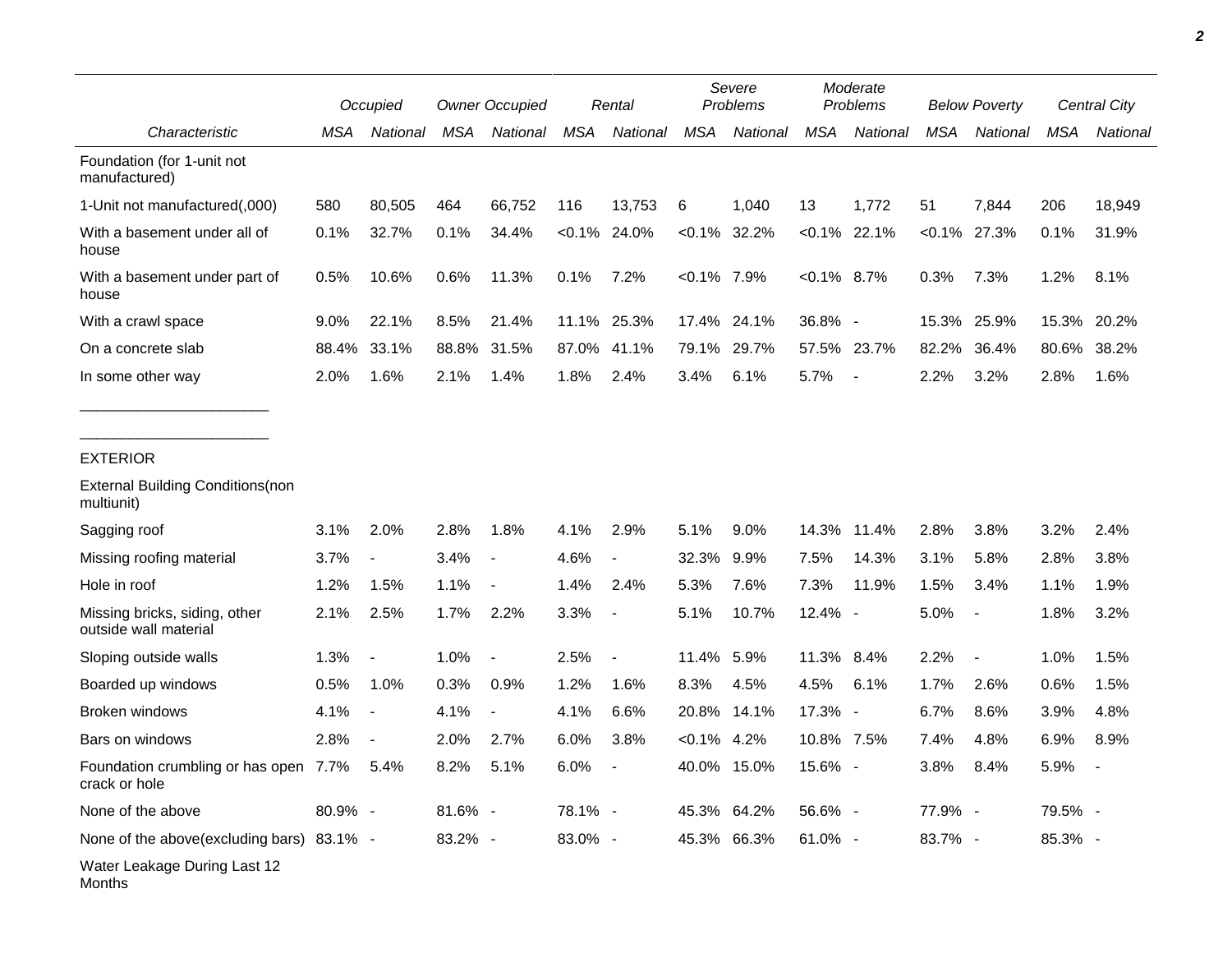|                                                        |         | Occupied                 | <b>Owner Occupied</b> |                          |            | Rental                   |                | Severe<br>Problems | Moderate<br>Problems |                          | <b>Below Poverty</b> |                          | Central City |          |
|--------------------------------------------------------|---------|--------------------------|-----------------------|--------------------------|------------|--------------------------|----------------|--------------------|----------------------|--------------------------|----------------------|--------------------------|--------------|----------|
| Characteristic                                         | MSA     | National                 | MSA                   | National                 | <b>MSA</b> | <b>National</b>          | <b>MSA</b>     | National           | <b>MSA</b>           | National                 | <b>MSA</b>           | National                 | <b>MSA</b>   | National |
| Foundation (for 1-unit not<br>manufactured)            |         |                          |                       |                          |            |                          |                |                    |                      |                          |                      |                          |              |          |
| 1-Unit not manufactured(,000)                          | 580     | 80,505                   | 464                   | 66,752                   | 116        | 13,753                   | 6              | 1,040              | 13                   | 1,772                    | 51                   | 7,844                    | 206          | 18,949   |
| With a basement under all of<br>house                  | 0.1%    | 32.7%                    | 0.1%                  | 34.4%                    |            | $< 0.1\%$ 24.0%          |                | $< 0.1\%$ 32.2%    |                      | $< 0.1\%$ 22.1%          | $< 0.1\%$            | 27.3%                    | 0.1%         | 31.9%    |
| With a basement under part of<br>house                 | 0.5%    | 10.6%                    | 0.6%                  | 11.3%                    | 0.1%       | 7.2%                     | $< 0.1\%$ 7.9% |                    | $< 0.1\%$ 8.7%       |                          | 0.3%                 | 7.3%                     | 1.2%         | 8.1%     |
| With a crawl space                                     | 9.0%    | 22.1%                    | 8.5%                  | 21.4%                    | 11.1%      | 25.3%                    |                | 17.4% 24.1%        | 36.8% -              |                          | 15.3%                | 25.9%                    | 15.3%        | 20.2%    |
| On a concrete slab                                     | 88.4%   | 33.1%                    | 88.8%                 | 31.5%                    | 87.0%      | 41.1%                    | 79.1%          | 29.7%              |                      | 57.5% 23.7%              | 82.2%                | 36.4%                    | 80.6%        | 38.2%    |
| In some other way                                      | 2.0%    | 1.6%                     | 2.1%                  | 1.4%                     | 1.8%       | 2.4%                     | 3.4%           | 6.1%               | 5.7%                 | $\overline{\phantom{a}}$ | 2.2%                 | 3.2%                     | 2.8%         | 1.6%     |
| <b>EXTERIOR</b>                                        |         |                          |                       |                          |            |                          |                |                    |                      |                          |                      |                          |              |          |
| <b>External Building Conditions (non</b><br>multiunit) |         |                          |                       |                          |            |                          |                |                    |                      |                          |                      |                          |              |          |
| Sagging roof                                           | 3.1%    | 2.0%                     | 2.8%                  | 1.8%                     | 4.1%       | 2.9%                     | 5.1%           | 9.0%               | 14.3%                | 11.4%                    | 2.8%                 | 3.8%                     | 3.2%         | 2.4%     |
| Missing roofing material                               | 3.7%    | $\overline{\phantom{a}}$ | 3.4%                  | $\blacksquare$           | 4.6%       | $\overline{\phantom{a}}$ | 32.3%          | 9.9%               | 7.5%                 | 14.3%                    | 3.1%                 | 5.8%                     | 2.8%         | 3.8%     |
| Hole in roof                                           | 1.2%    | 1.5%                     | 1.1%                  |                          | 1.4%       | 2.4%                     | 5.3%           | 7.6%               | 7.3%                 | 11.9%                    | 1.5%                 | 3.4%                     | 1.1%         | 1.9%     |
| Missing bricks, siding, other<br>outside wall material | 2.1%    | 2.5%                     | 1.7%                  | 2.2%                     | 3.3%       | $\overline{\phantom{a}}$ | 5.1%           | 10.7%              | 12.4% -              |                          | 5.0%                 | $\blacksquare$           | 1.8%         | 3.2%     |
| Sloping outside walls                                  | 1.3%    | $\blacksquare$           | 1.0%                  | $\blacksquare$           | 2.5%       | $\blacksquare$           | 11.4%          | 5.9%               | 11.3% 8.4%           |                          | 2.2%                 | $\overline{\phantom{a}}$ | 1.0%         | 1.5%     |
| Boarded up windows                                     | 0.5%    | 1.0%                     | 0.3%                  | 0.9%                     | 1.2%       | 1.6%                     | 8.3%           | 4.5%               | 4.5%                 | 6.1%                     | 1.7%                 | 2.6%                     | 0.6%         | 1.5%     |
| Broken windows                                         | 4.1%    | $\blacksquare$           | 4.1%                  | $\overline{\phantom{a}}$ | 4.1%       | 6.6%                     | 20.8%          | 14.1%              | 17.3% -              |                          | 6.7%                 | 8.6%                     | 3.9%         | 4.8%     |
| Bars on windows                                        | 2.8%    |                          | 2.0%                  | 2.7%                     | 6.0%       | 3.8%                     | $< 0.1\%$ 4.2% |                    | 10.8% 7.5%           |                          | 7.4%                 | 4.8%                     | 6.9%         | 8.9%     |
| Foundation crumbling or has open 7.7%<br>crack or hole |         | 5.4%                     | 8.2%                  | 5.1%                     | 6.0%       |                          |                | 40.0% 15.0%        | 15.6% -              |                          | 3.8%                 | 8.4%                     | 5.9%         |          |
| None of the above                                      | 80.9% - |                          | 81.6% -               |                          | 78.1% -    |                          |                | 45.3% 64.2%        | 56.6% -              |                          | 77.9% -              |                          | 79.5% -      |          |
| None of the above(excluding bars) 83.1% -              |         |                          | 83.2% -               |                          | 83.0% -    |                          |                | 45.3% 66.3%        | 61.0% -              |                          | 83.7% -              |                          | 85.3% -      |          |
| Water Leakage During Last 12<br>Months                 |         |                          |                       |                          |            |                          |                |                    |                      |                          |                      |                          |              |          |

*2*

٠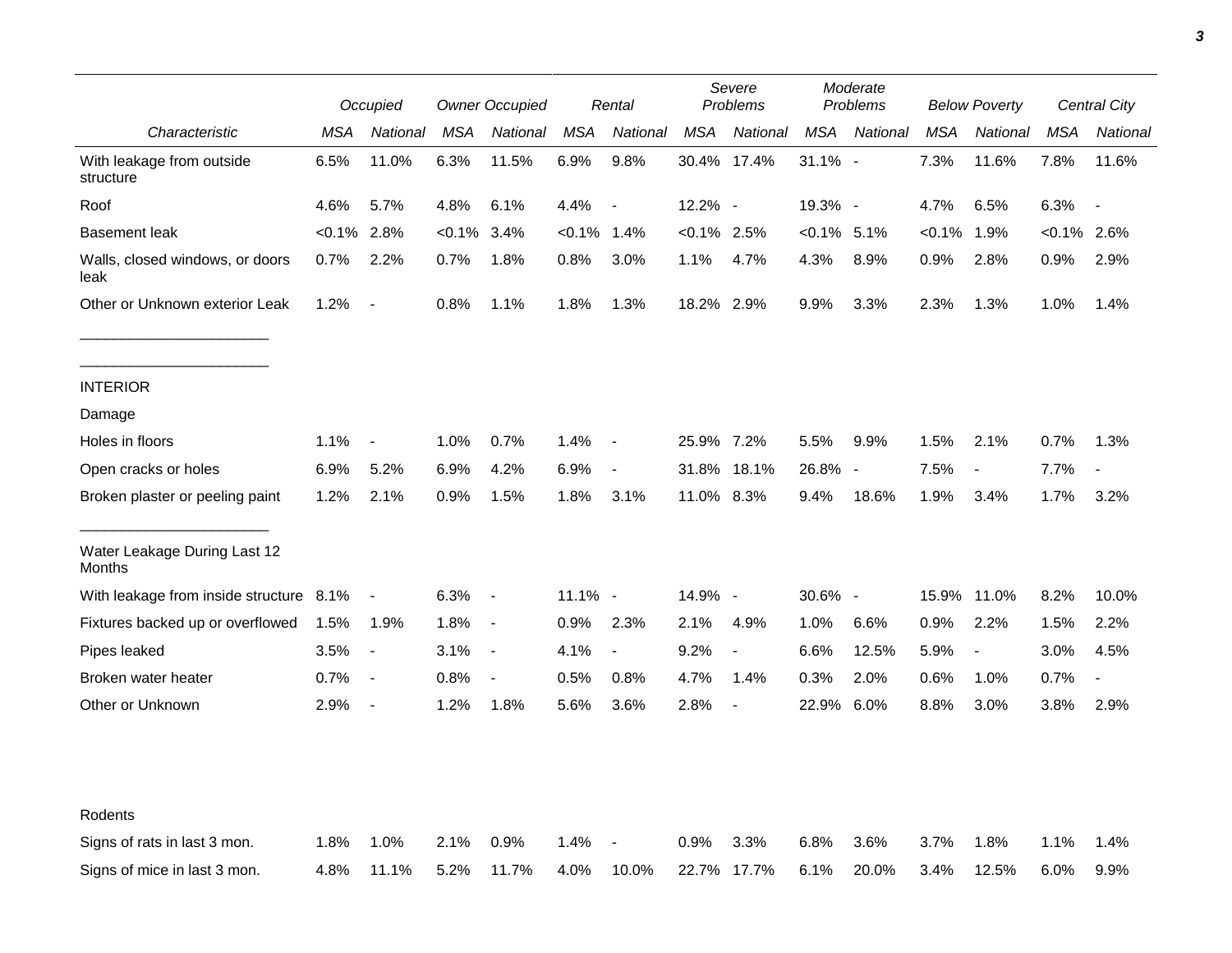|                                         | Occupied  |                          | <b>Owner Occupied</b> |                          |                | Rental                   |                | Severe<br>Problems       |               | Moderate<br>Problems     | <b>Below Poverty</b> |                          | Central City   |                          |
|-----------------------------------------|-----------|--------------------------|-----------------------|--------------------------|----------------|--------------------------|----------------|--------------------------|---------------|--------------------------|----------------------|--------------------------|----------------|--------------------------|
| Characteristic                          | MSA       | National                 | MSA                   | National                 | <b>MSA</b>     | National                 | <b>MSA</b>     | National                 | MSA           | National                 | <b>MSA</b>           | National                 | MSA            | National                 |
| With leakage from outside<br>structure  | 6.5%      | 11.0%                    | 6.3%                  | 11.5%                    | 6.9%           | 9.8%                     |                | 30.4% 17.4%              | $31.1\%$ -    |                          | 7.3%                 | 11.6%                    | 7.8%           | 11.6%                    |
| Roof                                    | 4.6%      | 5.7%                     | 4.8%                  | 6.1%                     | 4.4%           | $\overline{\phantom{a}}$ | 12.2% -        |                          | 19.3% -       |                          | 4.7%                 | 6.5%                     | 6.3%           | $\overline{\phantom{a}}$ |
| <b>Basement leak</b>                    | $< 0.1\%$ | 2.8%                     | $< 0.1\%$             | 3.4%                     | $< 0.1\%$ 1.4% |                          | $< 0.1\%$ 2.5% |                          | $<0.1\%$ 5.1% |                          | $< 0.1\%$            | 1.9%                     | $< 0.1\%$ 2.6% |                          |
| Walls, closed windows, or doors<br>leak | 0.7%      | 2.2%                     | 0.7%                  | 1.8%                     | 0.8%           | 3.0%                     | 1.1%           | 4.7%                     | 4.3%          | 8.9%                     | 0.9%                 | 2.8%                     | 0.9%           | 2.9%                     |
| Other or Unknown exterior Leak          | 1.2%      | $\blacksquare$           | 0.8%                  | 1.1%                     | 1.8%           | 1.3%                     | 18.2% 2.9%     |                          | 9.9%          | 3.3%                     | 2.3%                 | 1.3%                     | 1.0%           | 1.4%                     |
| <b>INTERIOR</b>                         |           |                          |                       |                          |                |                          |                |                          |               |                          |                      |                          |                |                          |
| Damage                                  |           |                          |                       |                          |                |                          |                |                          |               |                          |                      |                          |                |                          |
| Holes in floors                         | 1.1%      | $\blacksquare$           | 1.0%                  | 0.7%                     | 1.4%           | $\blacksquare$           | 25.9% 7.2%     |                          | 5.5%          | 9.9%                     | 1.5%                 | 2.1%                     | 0.7%           | 1.3%                     |
| Open cracks or holes                    | 6.9%      | 5.2%                     | 6.9%                  | 4.2%                     | 6.9%           | $\overline{\phantom{a}}$ | 31.8%          | 18.1%                    | 26.8%         | $\overline{\phantom{a}}$ | 7.5%                 | $\overline{\phantom{a}}$ | 7.7%           |                          |
| Broken plaster or peeling paint         | 1.2%      | 2.1%                     | 0.9%                  | 1.5%                     | 1.8%           | 3.1%                     | 11.0% 8.3%     |                          | 9.4%          | 18.6%                    | 1.9%                 | 3.4%                     | 1.7%           | 3.2%                     |
| Water Leakage During Last 12<br>Months  |           |                          |                       |                          |                |                          |                |                          |               |                          |                      |                          |                |                          |
| With leakage from inside structure      | 8.1%      | $\overline{\phantom{a}}$ | 6.3%                  | $\sim$                   | 11.1% -        |                          | 14.9% -        |                          | 30.6% -       |                          | 15.9%                | 11.0%                    | 8.2%           | 10.0%                    |
| Fixtures backed up or overflowed        | 1.5%      | 1.9%                     | 1.8%                  | $\sim$                   | 0.9%           | 2.3%                     | 2.1%           | 4.9%                     | 1.0%          | 6.6%                     | 0.9%                 | 2.2%                     | 1.5%           | 2.2%                     |
| Pipes leaked                            | 3.5%      | $\overline{\phantom{a}}$ | $3.1\%$               | $\overline{\phantom{a}}$ | 4.1%           | $\overline{a}$           | 9.2%           |                          | 6.6%          | 12.5%                    | 5.9%                 | J.                       | 3.0%           | 4.5%                     |
| Broken water heater                     | 0.7%      | $\overline{\phantom{a}}$ | 0.8%                  | $\overline{\phantom{a}}$ | 0.5%           | 0.8%                     | 4.7%           | 1.4%                     | 0.3%          | 2.0%                     | 0.6%                 | 1.0%                     | 0.7%           | $\overline{\phantom{a}}$ |
| Other or Unknown                        | 2.9%      | $\blacksquare$           | 1.2%                  | 1.8%                     | 5.6%           | 3.6%                     | 2.8%           | $\overline{\phantom{a}}$ | 22.9%         | 6.0%                     | 8.8%                 | 3.0%                     | 3.8%           | 2.9%                     |
|                                         |           |                          |                       |                          |                |                          |                |                          |               |                          |                      |                          |                |                          |
| Rodents                                 |           |                          |                       |                          |                |                          |                |                          |               |                          |                      |                          |                |                          |
| Signs of rats in last 3 mon.            | 1.8%      | 1.0%                     | 2.1%                  | 0.9%                     | 1.4%           | $\overline{\phantom{a}}$ | 0.9%           | 3.3%                     | 6.8%          | 3.6%                     | 3.7%                 | 1.8%                     | 1.1%           | 1.4%                     |
| Signs of mice in last 3 mon.            | 4.8%      | 11.1%                    | 5.2%                  | 11.7%                    | 4.0%           | 10.0%                    |                | 22.7% 17.7%              | 6.1%          | 20.0%                    | 3.4%                 | 12.5%                    | 6.0%           | 9.9%                     |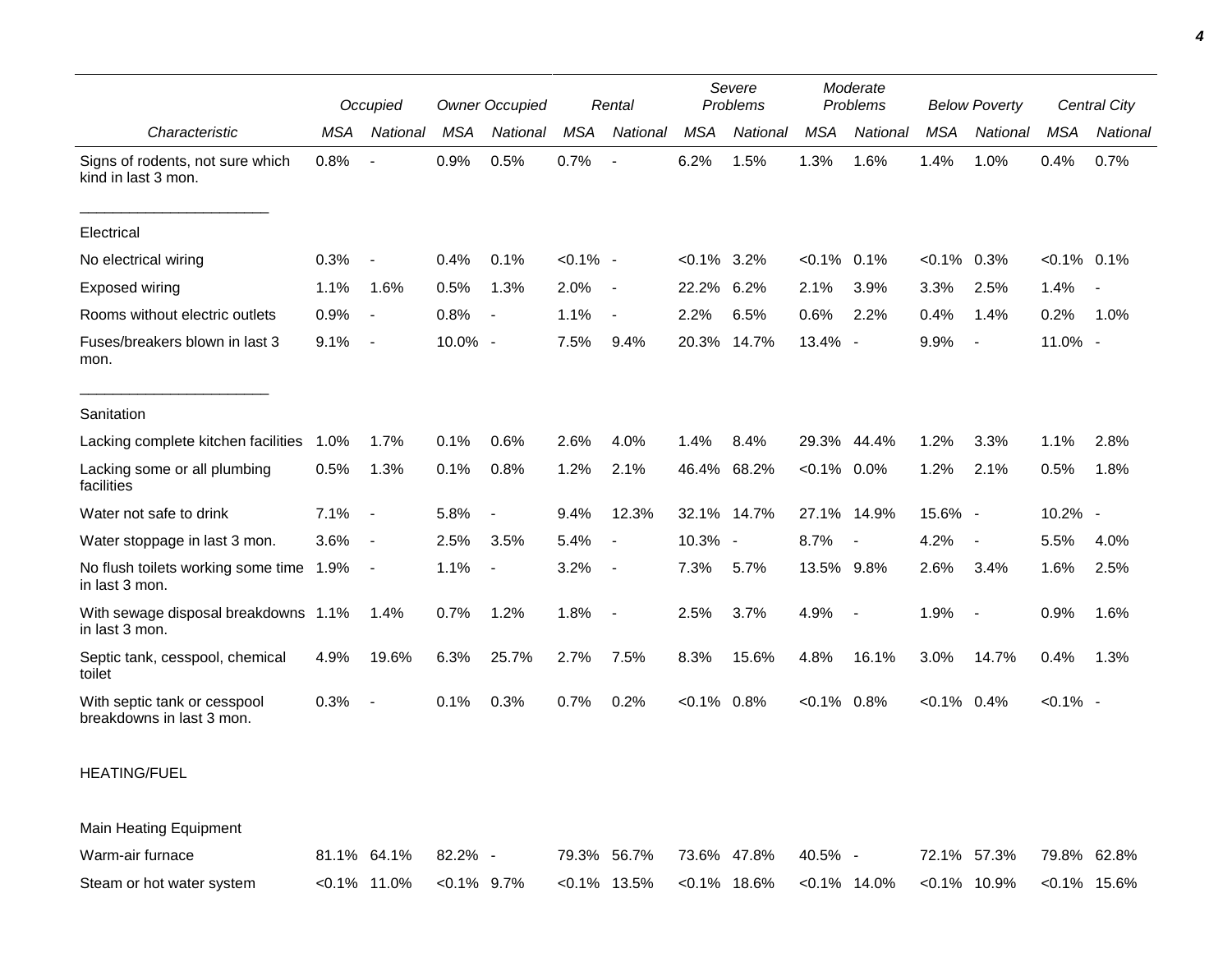|                                                           |            | Occupied                 |            | <b>Owner Occupied</b>    |             | Rental                   |            | Severe<br>Problems |                | Moderate<br>Problems     |                | <b>Below Poverty</b>     |                | Central City |
|-----------------------------------------------------------|------------|--------------------------|------------|--------------------------|-------------|--------------------------|------------|--------------------|----------------|--------------------------|----------------|--------------------------|----------------|--------------|
| Characteristic                                            | <b>MSA</b> | National                 | <b>MSA</b> | National                 | <b>MSA</b>  | National                 | <b>MSA</b> | National           | <b>MSA</b>     | National                 | <b>MSA</b>     | National                 | MSA            | National     |
| Signs of rodents, not sure which<br>kind in last 3 mon.   | 0.8%       | $\overline{\phantom{a}}$ | 0.9%       | 0.5%                     | 0.7%        |                          | 6.2%       | 1.5%               | 1.3%           | 1.6%                     | 1.4%           | 1.0%                     | 0.4%           | 0.7%         |
| Electrical                                                |            |                          |            |                          |             |                          |            |                    |                |                          |                |                          |                |              |
| No electrical wiring                                      | 0.3%       | $\overline{\phantom{a}}$ | 0.4%       | 0.1%                     | $< 0.1\%$ - |                          | $< 0.1\%$  | 3.2%               | $< 0.1\%$ 0.1% |                          | $< 0.1\%$      | 0.3%                     | $< 0.1\%$ 0.1% |              |
| Exposed wiring                                            | 1.1%       | 1.6%                     | 0.5%       | 1.3%                     | 2.0%        | $\overline{\phantom{a}}$ | 22.2%      | 6.2%               | 2.1%           | 3.9%                     | 3.3%           | 2.5%                     | 1.4%           |              |
| Rooms without electric outlets                            | 0.9%       | $\overline{\phantom{a}}$ | 0.8%       | $\overline{\phantom{a}}$ | 1.1%        | $\blacksquare$           | 2.2%       | 6.5%               | 0.6%           | 2.2%                     | 0.4%           | 1.4%                     | 0.2%           | 1.0%         |
| Fuses/breakers blown in last 3<br>mon.                    | 9.1%       | $\overline{\phantom{a}}$ | 10.0% -    |                          | 7.5%        | 9.4%                     | 20.3%      | 14.7%              | 13.4% -        |                          | 9.9%           | $\blacksquare$           | 11.0% -        |              |
| Sanitation                                                |            |                          |            |                          |             |                          |            |                    |                |                          |                |                          |                |              |
| Lacking complete kitchen facilities                       | 1.0%       | 1.7%                     | 0.1%       | 0.6%                     | 2.6%        | 4.0%                     | 1.4%       | 8.4%               | 29.3%          | 44.4%                    | 1.2%           | 3.3%                     | 1.1%           | 2.8%         |
| Lacking some or all plumbing<br>facilities                | 0.5%       | 1.3%                     | 0.1%       | 0.8%                     | 1.2%        | 2.1%                     | 46.4%      | 68.2%              | $< 0.1\%$ 0.0% |                          | 1.2%           | 2.1%                     | 0.5%           | 1.8%         |
| Water not safe to drink                                   | 7.1%       | $\overline{\phantom{a}}$ | 5.8%       | $\overline{\phantom{a}}$ | 9.4%        | 12.3%                    |            | 32.1% 14.7%        | 27.1%          | 14.9%                    | 15.6% -        |                          | 10.2% -        |              |
| Water stoppage in last 3 mon.                             | 3.6%       | $\overline{\phantom{a}}$ | 2.5%       | 3.5%                     | 5.4%        | $\blacksquare$           | 10.3% -    |                    | 8.7%           | $\overline{\phantom{a}}$ | 4.2%           | $\overline{\phantom{a}}$ | 5.5%           | 4.0%         |
| No flush toilets working some time 1.9%<br>in last 3 mon. |            | $\overline{\phantom{a}}$ | 1.1%       | $\overline{\phantom{a}}$ | 3.2%        |                          | 7.3%       | 5.7%               | 13.5% 9.8%     |                          | 2.6%           | 3.4%                     | 1.6%           | 2.5%         |
| With sewage disposal breakdowns 1.1%<br>in last 3 mon.    |            | 1.4%                     | 0.7%       | 1.2%                     | 1.8%        |                          | 2.5%       | 3.7%               | 4.9%           | $\sim$                   | 1.9%           | $\overline{\phantom{a}}$ | 0.9%           | 1.6%         |
| Septic tank, cesspool, chemical<br>toilet                 | 4.9%       | 19.6%                    | 6.3%       | 25.7%                    | 2.7%        | 7.5%                     | 8.3%       | 15.6%              | 4.8%           | 16.1%                    | 3.0%           | 14.7%                    | 0.4%           | 1.3%         |
| With septic tank or cesspool<br>breakdowns in last 3 mon. | 0.3%       | $\blacksquare$           | 0.1%       | 0.3%                     | 0.7%        | 0.2%                     | $< 0.1\%$  | 0.8%               | $< 0.1\%$ 0.8% |                          | $< 0.1\%$ 0.4% |                          | $< 0.1\%$ -    |              |

## HEATING/FUEL

Main Heating Equipment

| Warm-air furnace          | 81.1% 64.1% 82.2% -            | 79.3% 56.7% 73.6% 47.8% 40.5% - |  | 72.1% 57.3% 79.8% 62.8%                                                         |  |
|---------------------------|--------------------------------|---------------------------------|--|---------------------------------------------------------------------------------|--|
| Steam or hot water system | $< 0.1\%$ 11.0% $< 0.1\%$ 9.7% |                                 |  | $\{0.1\%$ 13.5% < $0.1\%$ 18.6% < $0.1\%$ 14.0% < $0.1\%$ 10.9% < $0.1\%$ 15.6% |  |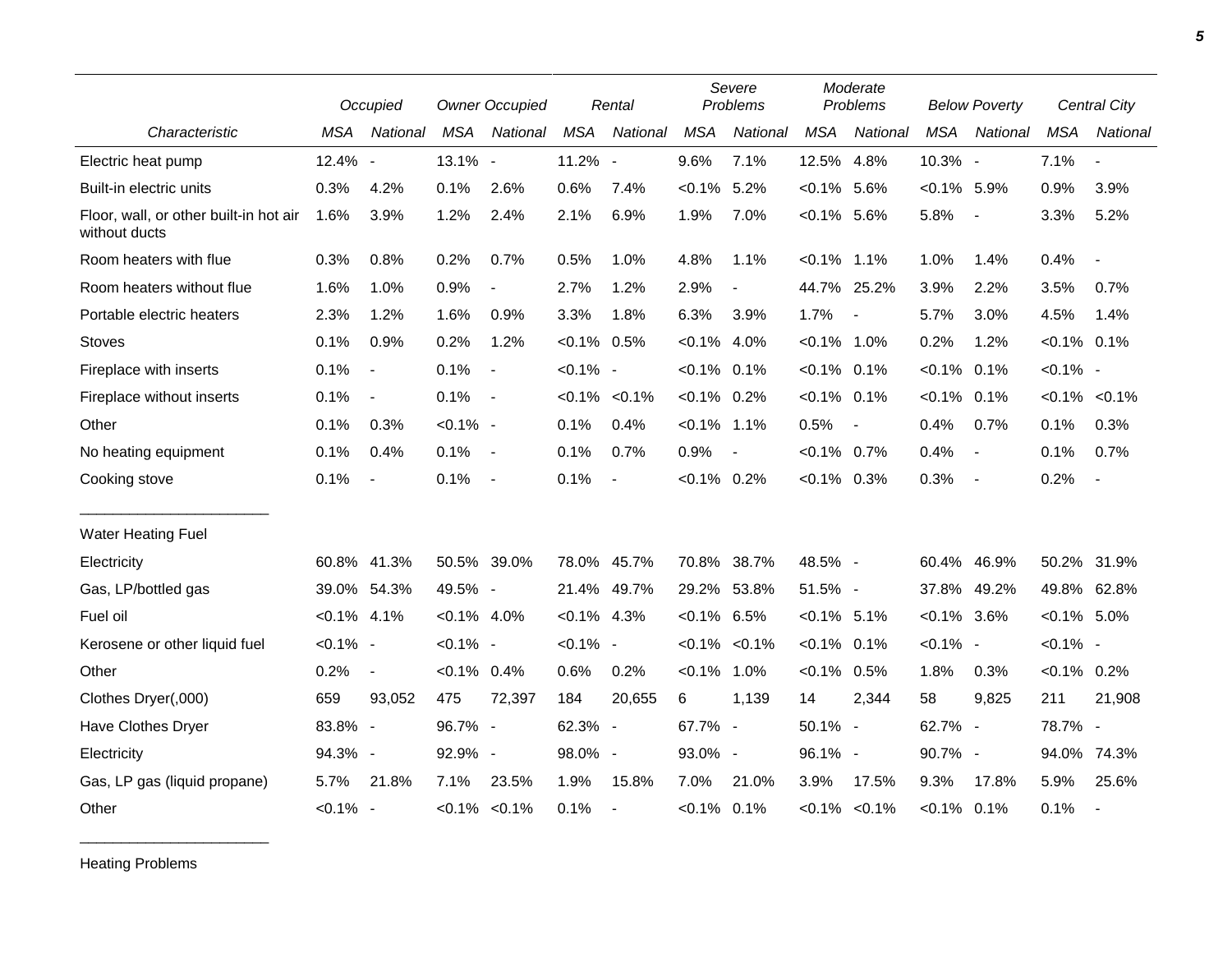|                                                         |                | Occupied                 | <b>Owner Occupied</b> |                          |                | Severe<br>Problems<br>Rental |                |                     |                | Moderate<br>Problems     |                | <b>Below Poverty</b>     |                | Central City             |
|---------------------------------------------------------|----------------|--------------------------|-----------------------|--------------------------|----------------|------------------------------|----------------|---------------------|----------------|--------------------------|----------------|--------------------------|----------------|--------------------------|
| Characteristic                                          | MSA            | National                 | <b>MSA</b>            | National                 | <b>MSA</b>     | National                     | <b>MSA</b>     | National            | <b>MSA</b>     | National                 | <b>MSA</b>     | National                 | <b>MSA</b>     | National                 |
| Electric heat pump                                      | 12.4% -        |                          | 13.1% -               |                          | 11.2% -        |                              | 9.6%           | 7.1%                | 12.5% 4.8%     |                          | 10.3% -        |                          | 7.1%           | $\overline{\phantom{a}}$ |
| Built-in electric units                                 | 0.3%           | 4.2%                     | 0.1%                  | 2.6%                     | 0.6%           | 7.4%                         | $< 0.1\%$      | 5.2%                | $< 0.1\%$      | 5.6%                     | $< 0.1\%$ 5.9% |                          | 0.9%           | 3.9%                     |
| Floor, wall, or other built-in hot air<br>without ducts | 1.6%           | 3.9%                     | 1.2%                  | 2.4%                     | 2.1%           | 6.9%                         | 1.9%           | 7.0%                | $< 0.1\%$ 5.6% |                          | 5.8%           | $\overline{\phantom{a}}$ | 3.3%           | 5.2%                     |
| Room heaters with flue                                  | 0.3%           | 0.8%                     | 0.2%                  | 0.7%                     | 0.5%           | 1.0%                         | 4.8%           | 1.1%                | $< 0.1\%$ 1.1% |                          | 1.0%           | 1.4%                     | 0.4%           | $\blacksquare$           |
| Room heaters without flue                               | 1.6%           | 1.0%                     | 0.9%                  |                          | 2.7%           | 1.2%                         | 2.9%           |                     |                | 44.7% 25.2%              | 3.9%           | 2.2%                     | 3.5%           | 0.7%                     |
| Portable electric heaters                               | 2.3%           | 1.2%                     | 1.6%                  | 0.9%                     | 3.3%           | 1.8%                         | 6.3%           | 3.9%                | 1.7%           | $\overline{\phantom{a}}$ | 5.7%           | 3.0%                     | 4.5%           | 1.4%                     |
| <b>Stoves</b>                                           | 0.1%           | 0.9%                     | 0.2%                  | 1.2%                     | $< 0.1\%$ 0.5% |                              | $< 0.1\%$      | 4.0%                | $< 0.1\%$ 1.0% |                          | 0.2%           | 1.2%                     | $< 0.1\%$ 0.1% |                          |
| Fireplace with inserts                                  | 0.1%           | $\blacksquare$           | 0.1%                  | $\overline{\phantom{a}}$ | $< 0.1\%$ -    |                              | $< 0.1\%$ 0.1% |                     | $< 0.1\%$ 0.1% |                          | $< 0.1\%$      | 0.1%                     | $< 0.1\%$ -    |                          |
| Fireplace without inserts                               | 0.1%           | $\overline{\phantom{a}}$ | 0.1%                  | $\overline{\phantom{a}}$ |                | $< 0.1\% < 0.1\%$            | $< 0.1\%$ 0.2% |                     | $< 0.1\%$ 0.1% |                          | $< 0.1\%$      | 0.1%                     |                | $< 0.1\%$ $< 0.1\%$      |
| Other                                                   | 0.1%           | 0.3%                     | $< 0.1\%$ -           |                          | 0.1%           | 0.4%                         | $< 0.1\%$ 1.1% |                     | 0.5%           | $\blacksquare$           | 0.4%           | 0.7%                     | 0.1%           | 0.3%                     |
| No heating equipment                                    | 0.1%           | 0.4%                     | 0.1%                  | $\sim$                   | 0.1%           | 0.7%                         | 0.9%           | $\blacksquare$      | $< 0.1\%$      | 0.7%                     | 0.4%           | $\blacksquare$           | 0.1%           | 0.7%                     |
| Cooking stove                                           | 0.1%           | $\blacksquare$           | 0.1%                  | $\sim$                   | 0.1%           | $\blacksquare$               | $< 0.1\%$ 0.2% |                     | $< 0.1\%$ 0.3% |                          | 0.3%           | $\overline{\phantom{a}}$ | 0.2%           | $\sim$                   |
| <b>Water Heating Fuel</b>                               |                |                          |                       |                          |                |                              |                |                     |                |                          |                |                          |                |                          |
| Electricity                                             |                | 60.8% 41.3%              | 50.5% 39.0%           |                          |                | 78.0% 45.7%                  |                | 70.8% 38.7%         | 48.5% -        |                          | 60.4%          | 46.9%                    |                | 50.2% 31.9%              |
| Gas, LP/bottled gas                                     | 39.0%          | 54.3%                    | 49.5% -               |                          |                | 21.4% 49.7%                  | 29.2% 53.8%    |                     | 51.5% -        |                          | 37.8%          | 49.2%                    |                | 49.8% 62.8%              |
| Fuel oil                                                | $< 0.1\%$ 4.1% |                          | $< 0.1\%$ 4.0%        |                          | $< 0.1\%$ 4.3% |                              | $< 0.1\%$ 6.5% |                     | $< 0.1\%$ 5.1% |                          | $< 0.1\%$ 3.6% |                          | $< 0.1\%$ 5.0% |                          |
| Kerosene or other liquid fuel                           | $< 0.1\%$ -    |                          | $< 0.1\%$ -           |                          | $< 0.1\%$ -    |                              |                | $< 0.1\%$ $< 0.1\%$ | $< 0.1\%$ 0.1% |                          | $< 0.1\%$ -    |                          | $< 0.1\%$ -    |                          |
| Other                                                   | 0.2%           | $\overline{\phantom{a}}$ | $< 0.1\%$ 0.4%        |                          | 0.6%           | 0.2%                         | $< 0.1\%$      | 1.0%                | $< 0.1\%$      | 0.5%                     | 1.8%           | 0.3%                     | $< 0.1\%$ 0.2% |                          |
| Clothes Dryer(,000)                                     | 659            | 93,052                   | 475                   | 72,397                   | 184            | 20,655                       | 6              | 1,139               | 14             | 2,344                    | 58             | 9,825                    | 211            | 21,908                   |
| Have Clothes Dryer                                      | 83.8% -        |                          | 96.7% -               |                          | 62.3% -        |                              | 67.7% -        |                     | 50.1% -        |                          | 62.7% -        |                          | 78.7% -        |                          |
| Electricity                                             | 94.3% -        |                          | 92.9% -               |                          | 98.0% -        |                              | 93.0% -        |                     | 96.1% -        |                          | 90.7% -        |                          | 94.0%          | 74.3%                    |
| Gas, LP gas (liquid propane)                            | 5.7%           | 21.8%                    | 7.1%                  | 23.5%                    | 1.9%           | 15.8%                        | 7.0%           | 21.0%               | 3.9%           | 17.5%                    | 9.3%           | 17.8%                    | 5.9%           | 25.6%                    |
| Other                                                   | $< 0.1\%$ -    |                          | $< 0.1\% < 0.1\%$     |                          | 0.1%           | $\blacksquare$               | $< 0.1\%$ 0.1% |                     |                | $< 0.1\%$ $< 0.1\%$      | $< 0.1\%$ 0.1% |                          | 0.1%           | $\overline{\phantom{a}}$ |

Heating Problems

\_\_\_\_\_\_\_\_\_\_\_\_\_\_\_\_\_\_\_\_\_\_\_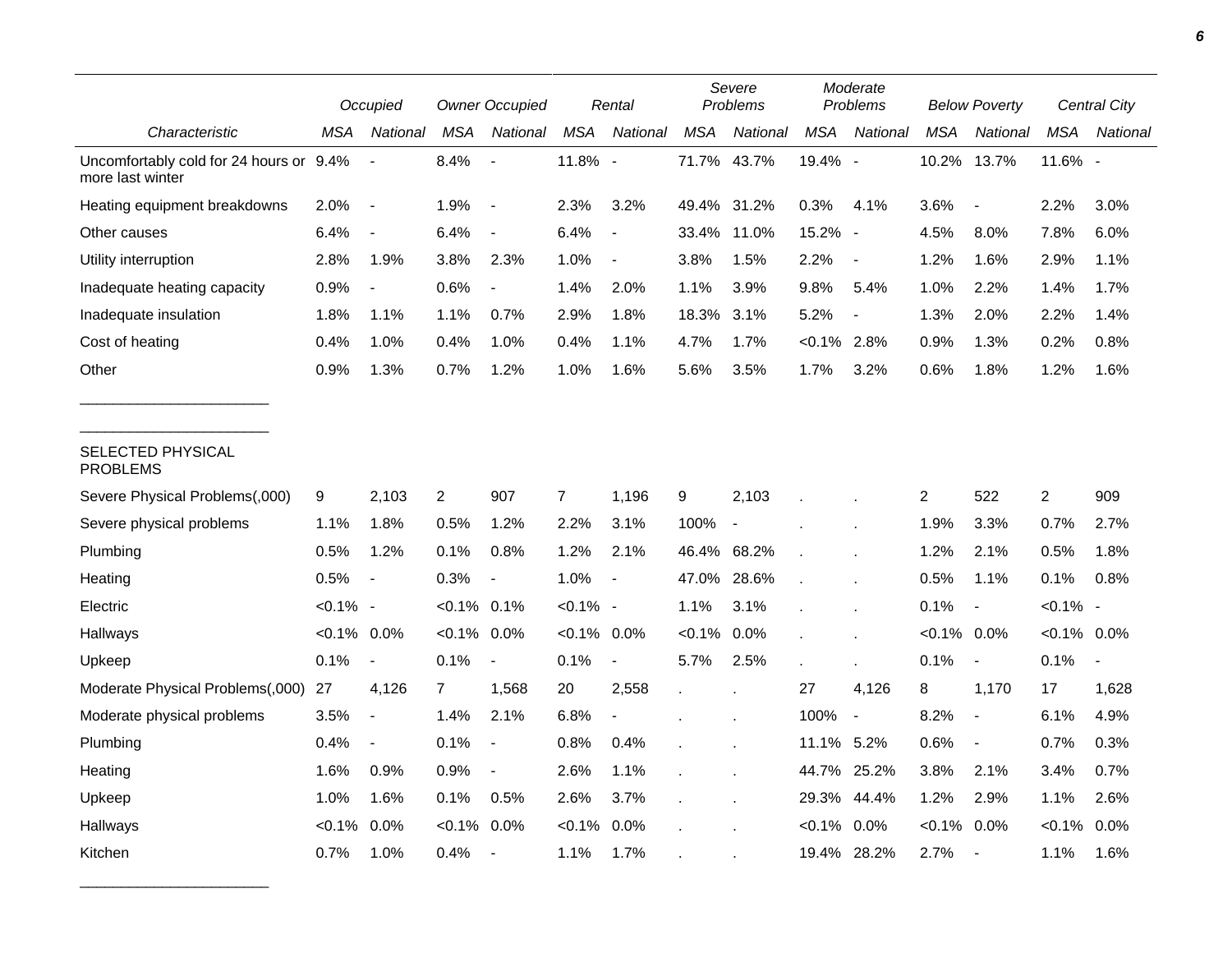|                                                             |                | Occupied                 | <b>Owner Occupied</b> |                          |                | Rental                   |             | Severe<br>Problems       | Moderate<br>Problems |                          |                | <b>Below Poverty</b>     | <b>Central City</b> |                |
|-------------------------------------------------------------|----------------|--------------------------|-----------------------|--------------------------|----------------|--------------------------|-------------|--------------------------|----------------------|--------------------------|----------------|--------------------------|---------------------|----------------|
| Characteristic                                              | <b>MSA</b>     | National                 | MSA                   | National                 | <b>MSA</b>     | National                 | <b>MSA</b>  | National                 | <b>MSA</b>           | National                 | MSA            | National                 | <b>MSA</b>          | National       |
| Uncomfortably cold for 24 hours or 9.4%<br>more last winter |                | $\blacksquare$           | 8.4%                  | $\overline{\phantom{a}}$ | 11.8% -        |                          |             | 71.7% 43.7%              | 19.4% -              |                          | 10.2%          | 13.7%                    | 11.6% -             |                |
| Heating equipment breakdowns                                | 2.0%           | $\overline{\phantom{a}}$ | 1.9%                  | $\blacksquare$           | 2.3%           | 3.2%                     |             | 49.4% 31.2%              | 0.3%                 | 4.1%                     | 3.6%           | $\overline{\phantom{a}}$ | 2.2%                | 3.0%           |
| Other causes                                                | 6.4%           | $\overline{\phantom{a}}$ | 6.4%                  | $\overline{a}$           | 6.4%           | $\overline{a}$           | 33.4%       | 11.0%                    | 15.2% -              |                          | 4.5%           | 8.0%                     | 7.8%                | 6.0%           |
| Utility interruption                                        | 2.8%           | 1.9%                     | 3.8%                  | 2.3%                     | 1.0%           | $\blacksquare$           | 3.8%        | 1.5%                     | 2.2%                 | $\blacksquare$           | 1.2%           | 1.6%                     | 2.9%                | 1.1%           |
| Inadequate heating capacity                                 | 0.9%           | $\overline{\phantom{a}}$ | 0.6%                  | $\blacksquare$           | 1.4%           | 2.0%                     | 1.1%        | 3.9%                     | 9.8%                 | 5.4%                     | 1.0%           | 2.2%                     | 1.4%                | 1.7%           |
| Inadequate insulation                                       | 1.8%           | 1.1%                     | 1.1%                  | 0.7%                     | 2.9%           | 1.8%                     | 18.3%       | 3.1%                     | 5.2%                 | $\blacksquare$           | 1.3%           | 2.0%                     | 2.2%                | 1.4%           |
| Cost of heating                                             | 0.4%           | 1.0%                     | 0.4%                  | 1.0%                     | 0.4%           | 1.1%                     | 4.7%        | 1.7%                     | $<0.1\%$ 2.8%        |                          | 0.9%           | 1.3%                     | 0.2%                | 0.8%           |
| Other                                                       | 0.9%           | 1.3%                     | 0.7%                  | 1.2%                     | 1.0%           | 1.6%                     | 5.6%        | 3.5%                     | 1.7%                 | 3.2%                     | 0.6%           | 1.8%                     | 1.2%                | 1.6%           |
| SELECTED PHYSICAL<br><b>PROBLEMS</b>                        |                |                          |                       |                          |                |                          |             |                          |                      |                          |                |                          |                     |                |
| Severe Physical Problems(,000)                              | 9              | 2,103                    | $\overline{2}$        | 907                      | $\overline{7}$ | 1,196                    | 9           | 2,103                    |                      |                          | 2              | 522                      | $\overline{c}$      | 909            |
| Severe physical problems                                    | 1.1%           | 1.8%                     | 0.5%                  | 1.2%                     | 2.2%           | 3.1%                     | 100%        | $\overline{\phantom{a}}$ |                      |                          | 1.9%           | 3.3%                     | 0.7%                | 2.7%           |
| Plumbing                                                    | 0.5%           | 1.2%                     | 0.1%                  | 0.8%                     | 1.2%           | 2.1%                     | 46.4% 68.2% |                          |                      |                          | 1.2%           | 2.1%                     | 0.5%                | 1.8%           |
| Heating                                                     | 0.5%           | $\overline{\phantom{a}}$ | 0.3%                  |                          | 1.0%           | $\overline{\phantom{a}}$ | 47.0%       | 28.6%                    |                      |                          | 0.5%           | 1.1%                     | 0.1%                | 0.8%           |
| Electric                                                    | $< 0.1\%$ -    |                          | $< 0.1\%$             | $0.1\%$                  | $< 0.1\%$ -    |                          | 1.1%        | 3.1%                     |                      |                          | 0.1%           | $\overline{\phantom{a}}$ | $< 0.1\%$ -         |                |
| Hallways                                                    | $< 0.1\%$ 0.0% |                          | $< 0.1\%$             | 0.0%                     | $< 0.1\%$ 0.0% |                          | $< 0.1\%$   | $0.0\%$                  |                      |                          | $< 0.1\%$ 0.0% |                          | $< 0.1\%$ 0.0%      |                |
| Upkeep                                                      | 0.1%           | $\overline{\phantom{a}}$ | 0.1%                  | $\blacksquare$           | 0.1%           | $\blacksquare$           | 5.7%        | 2.5%                     |                      | ×                        | 0.1%           | $\blacksquare$           | 0.1%                | $\blacksquare$ |
| Moderate Physical Problems(,000)                            | 27             | 4,126                    | $\overline{7}$        | 1,568                    | 20             | 2,558                    |             |                          | 27                   | 4,126                    | 8              | 1,170                    | 17                  | 1,628          |
| Moderate physical problems                                  | 3.5%           | $\overline{\phantom{a}}$ | 1.4%                  | 2.1%                     | 6.8%           |                          |             |                          | 100%                 | $\overline{\phantom{a}}$ | 8.2%           | $\overline{\phantom{a}}$ | 6.1%                | 4.9%           |
| Plumbing                                                    | 0.4%           | $\overline{\phantom{a}}$ | 0.1%                  | $\overline{\phantom{a}}$ | 0.8%           | 0.4%                     |             |                          | 11.1% 5.2%           |                          | 0.6%           | $\overline{\phantom{a}}$ | 0.7%                | 0.3%           |
| Heating                                                     | 1.6%           | 0.9%                     | 0.9%                  | $\overline{\phantom{a}}$ | 2.6%           | 1.1%                     |             |                          | 44.7%                | 25.2%                    | 3.8%           | 2.1%                     | 3.4%                | 0.7%           |
| Upkeep                                                      | 1.0%           | 1.6%                     | 0.1%                  | 0.5%                     | 2.6%           | 3.7%                     |             |                          | 29.3%                | 44.4%                    | 1.2%           | 2.9%                     | 1.1%                | 2.6%           |
| Hallways                                                    | $< 0.1\%$      | 0.0%                     | $< 0.1\%$             | 0.0%                     | $< 0.1\%$      | 0.0%                     |             |                          | $< 0.1\%$            | 0.0%                     | $< 0.1\%$ 0.0% |                          | $< 0.1\%$           | $0.0\%$        |
| Kitchen                                                     | 0.7%           | 1.0%                     | 0.4%                  |                          | 1.1%           | 1.7%                     |             |                          | 19.4%                | 28.2%                    | 2.7%           | $\overline{\phantom{a}}$ | 1.1%                | 1.6%           |

\_\_\_\_\_\_\_\_\_\_\_\_\_\_\_\_\_\_\_\_\_\_\_